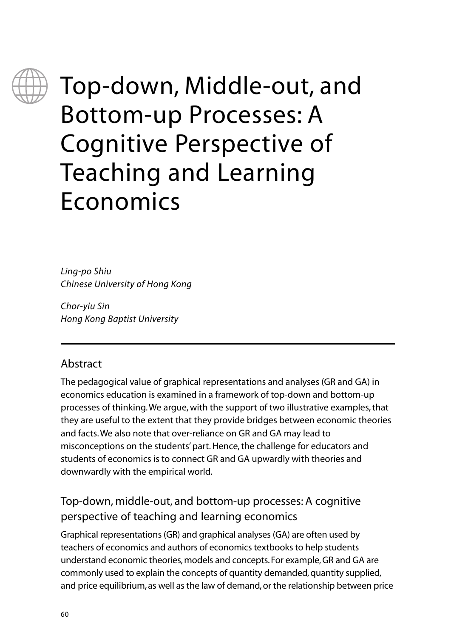

# Top-down, Middle-out, and Bottom-up Processes: A Cognitive Perspective of Teaching and Learning Economics

*Ling-po Shiu Chinese University of Hong Kong*

*Chor-yiu Sin Hong Kong Baptist University*

#### Abstract

The pedagogical value of graphical representations and analyses (GR and GA) in economics education is examined in a framework of top-down and bottom-up processes of thinking.We argue, with the support of two illustrative examples, that they are useful to the extent that they provide bridges between economic theories and facts.We also note that over-reliance on GR and GA may lead to misconceptions on the students' part. Hence, the challenge for educators and students of economics is to connect GR and GA upwardly with theories and downwardly with the empirical world.

# Top-down, middle-out, and bottom-up processes: A cognitive perspective of teaching and learning economics

Graphical representations (GR) and graphical analyses (GA) are often used by teachers of economics and authors of economics textbooks to help students understand economic theories, models and concepts. For example, GR and GA are commonly used to explain the concepts of quantity demanded, quantity supplied, and price equilibrium, as well as the law of demand, or the relationship between price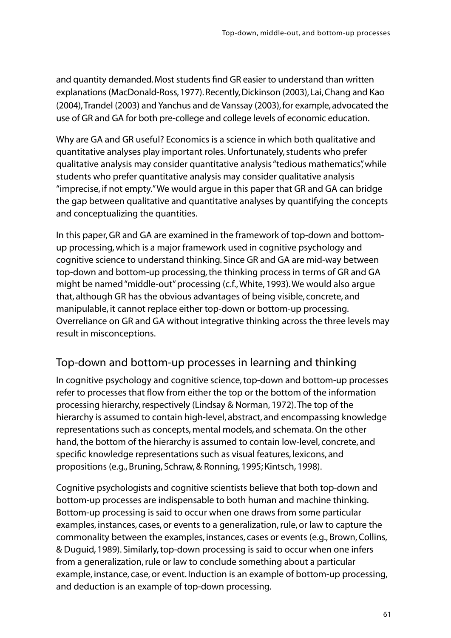and quantity demanded. Most students find GR easier to understand than written explanations (MacDonald-Ross, 1977). Recently, Dickinson (2003), Lai, Chang and Kao (2004),Trandel (2003) and Yanchus and de Vanssay (2003), for example, advocated the use of GR and GA for both pre-college and college levels of economic education.

Why are GA and GR useful? Economics is a science in which both qualitative and quantitative analyses play important roles. Unfortunately, students who prefer qualitative analysis may consider quantitative analysis "tedious mathematics", while students who prefer quantitative analysis may consider qualitative analysis "imprecise, if not empty."We would argue in this paper that GR and GA can bridge the gap between qualitative and quantitative analyses by quantifying the concepts and conceptualizing the quantities.

In this paper, GR and GA are examined in the framework of top-down and bottomup processing, which is a major framework used in cognitive psychology and cognitive science to understand thinking. Since GR and GA are mid-way between top-down and bottom-up processing, the thinking process in terms of GR and GA might be named "middle-out" processing (c.f., White, 1993).We would also argue that, although GR has the obvious advantages of being visible, concrete, and manipulable, it cannot replace either top-down or bottom-up processing. Overreliance on GR and GA without integrative thinking across the three levels may result in misconceptions.

#### Top-down and bottom-up processes in learning and thinking

In cognitive psychology and cognitive science, top-down and bottom-up processes refer to processes that flow from either the top or the bottom of the information processing hierarchy, respectively (Lindsay & Norman, 1972).The top of the hierarchy is assumed to contain high-level, abstract, and encompassing knowledge representations such as concepts, mental models, and schemata. On the other hand, the bottom of the hierarchy is assumed to contain low-level, concrete, and specific knowledge representations such as visual features, lexicons, and propositions (e.g., Bruning, Schraw, & Ronning, 1995; Kintsch, 1998).

Cognitive psychologists and cognitive scientists believe that both top-down and bottom-up processes are indispensable to both human and machine thinking. Bottom-up processing is said to occur when one draws from some particular examples, instances, cases, or events to a generalization, rule, or law to capture the commonality between the examples, instances, cases or events (e.g., Brown, Collins, & Duguid, 1989). Similarly, top-down processing is said to occur when one infers from a generalization, rule or law to conclude something about a particular example, instance, case, or event. Induction is an example of bottom-up processing, and deduction is an example of top-down processing.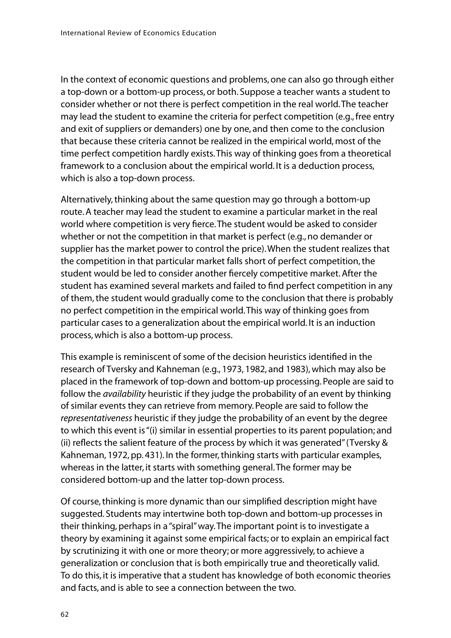In the context of economic questions and problems, one can also go through either a top-down or a bottom-up process, or both. Suppose a teacher wants a student to consider whether or not there is perfect competition in the real world.The teacher may lead the student to examine the criteria for perfect competition (e.g., free entry and exit of suppliers or demanders) one by one, and then come to the conclusion that because these criteria cannot be realized in the empirical world, most of the time perfect competition hardly exists.This way of thinking goes from a theoretical framework to a conclusion about the empirical world. It is a deduction process, which is also a top-down process.

Alternatively, thinking about the same question may go through a bottom-up route. A teacher may lead the student to examine a particular market in the real world where competition is very fierce.The student would be asked to consider whether or not the competition in that market is perfect (e.g., no demander or supplier has the market power to control the price).When the student realizes that the competition in that particular market falls short of perfect competition, the student would be led to consider another fiercely competitive market. After the student has examined several markets and failed to find perfect competition in any of them,the student would gradually come to the conclusion that there is probably no perfect competition in the empirical world.This way of thinking goes from particular cases to a generalization about the empirical world. It is an induction process, which is also a bottom-up process.

This example is reminiscent of some of the decision heuristics identified in the research of Tversky and Kahneman (e.g., 1973, 1982, and 1983), which may also be placed in the framework of top-down and bottom-up processing. People are said to follow the *availability* heuristic if they judge the probability of an event by thinking of similar events they can retrieve from memory. People are said to follow the *representativeness* heuristic if they judge the probability of an event by the degree to which this event is "(i) similar in essential properties to its parent population; and (ii) reflects the salient feature of the process by which it was generated" (Tversky & Kahneman, 1972, pp. 431). In the former, thinking starts with particular examples, whereas in the latter, it starts with something general.The former may be considered bottom-up and the latter top-down process.

Of course,thinking is more dynamic than our simplified description might have suggested. Students may intertwine both top-down and bottom-up processes in their thinking, perhaps in a "spiral" way.The important point is to investigate a theory by examining it against some empirical facts; or to explain an empirical fact by scrutinizing it with one or more theory; or more aggressively, to achieve a generalization or conclusion that is both empirically true and theoretically valid. To do this, it is imperative that a student has knowledge of both economic theories and facts, and is able to see a connection between the two.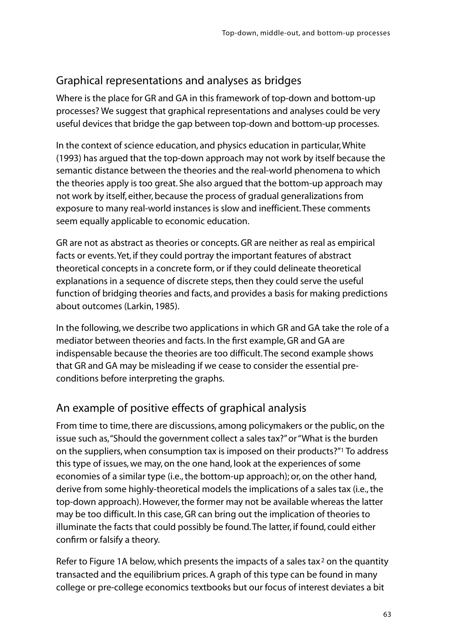## Graphical representations and analyses as bridges

Where is the place for GR and GA in this framework of top-down and bottom-up processes? We suggest that graphical representations and analyses could be very useful devices that bridge the gap between top-down and bottom-up processes.

In the context of science education, and physics education in particular, White (1993) has argued that the top-down approach may not work by itself because the semantic distance between the theories and the real-world phenomena to which the theories apply is too great. She also argued that the bottom-up approach may not work by itself, either, because the process of gradual generalizations from exposure to many real-world instances is slow and inefficient.These comments seem equally applicable to economic education.

GR are not as abstract as theories or concepts. GR are neither as real as empirical facts or events.Yet, if they could portray the important features of abstract theoretical concepts in a concrete form, or if they could delineate theoretical explanations in a sequence of discrete steps, then they could serve the useful function of bridging theories and facts, and provides a basis for making predictions about outcomes (Larkin, 1985).

In the following, we describe two applications in which GR and GA take the role of a mediator between theories and facts. In the first example, GR and GA are indispensable because the theories are too difficult.The second example shows that GR and GA may be misleading if we cease to consider the essential preconditions before interpreting the graphs.

## An example of positive effects of graphical analysis

From time to time, there are discussions, among policymakers or the public, on the issue such as,"Should the government collect a sales tax?" or "What is the burden on the suppliers, when consumption tax is imposed on their products?"1 To address this type of issues, we may, on the one hand, look at the experiences of some economies of a similar type (i.e., the bottom-up approach); or, on the other hand, derive from some highly-theoretical models the implications of a sales tax (i.e., the top-down approach).However, the former may not be available whereas the latter may be too difficult. In this case, GR can bring out the implication of theories to illuminate the facts that could possibly be found.The latter, if found, could either confirm or falsify a theory.

Refer to Figure 1A below, which presents the impacts of a sales tax $2$  on the quantity transacted and the equilibrium prices. A graph of this type can be found in many college or pre-college economics textbooks but our focus of interest deviates a bit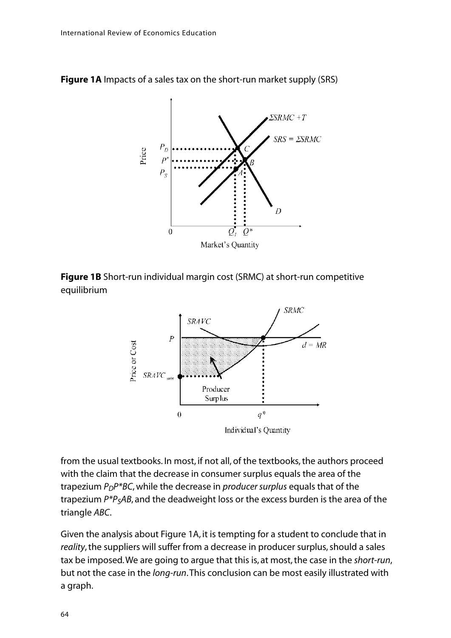

**Figure 1A** Impacts of a sales tax on the short-run market supply (SRS)





from the usual textbooks. In most, if not all, of the textbooks, the authors proceed with the claim that the decrease in consumer surplus equals the area of the trapezium *PDP\*BC*, while the decrease in *producer surplus* equals that of the trapezium *P\*PSAB*, and the deadweight loss or the excess burden is the area of the triangle *ABC*.

Given the analysis about Figure 1A, it is tempting for a student to conclude that in *reality*, the suppliers will suffer from a decrease in producer surplus, should a sales tax be imposed.We are going to argue that this is, at most, the case in the *short-run*, but not the case in the *long-run*.This conclusion can be most easily illustrated with a graph.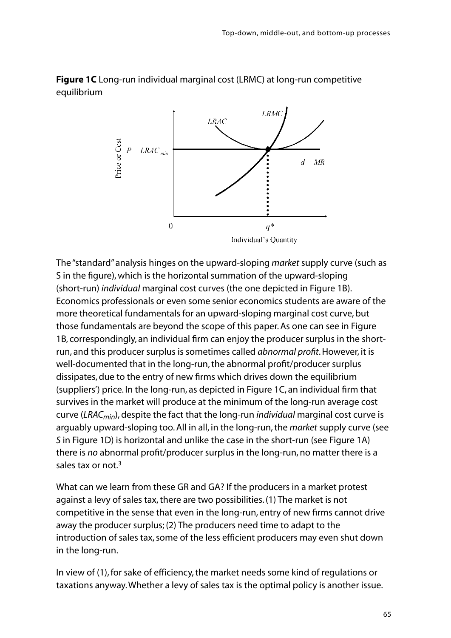

**Figure 1C** Long-run individual marginal cost (LRMC) at long-run competitive equilibrium

The "standard" analysis hinges on the upward-sloping *market* supply curve (such as S in the figure), which is the horizontal summation of the upward-sloping (short-run) *individual* marginal cost curves (the one depicted in Figure 1B). Economics professionals or even some senior economics students are aware of the more theoretical fundamentals for an upward-sloping marginal cost curve, but those fundamentals are beyond the scope of this paper. As one can see in Figure 1B, correspondingly, an individual firm can enjoy the producer surplus in the shortrun, and this producer surplus is sometimes called *abnormal profit*.However, it is well-documented that in the long-run, the abnormal profit/producer surplus dissipates, due to the entry of new firms which drives down the equilibrium (suppliers') price. In the long-run, as depicted in Figure 1C, an individual firm that survives in the market will produce at the minimum of the long-run average cost curve (*LRACmin*), despite the fact that the long-run *individual* marginal cost curve is arguably upward-sloping too. All in all, in the long-run, the *market* supply curve (see *S* in Figure 1D) is horizontal and unlike the case in the short-run (see Figure 1A) there is *no* abnormal profit/producer surplus in the long-run, no matter there is a sales tax or not  $3$ 

What can we learn from these GR and GA? If the producers in a market protest against a levy of sales tax, there are two possibilities. (1) The market is not competitive in the sense that even in the long-run, entry of new firms cannot drive away the producer surplus; (2) The producers need time to adapt to the introduction of sales tax, some of the less efficient producers may even shut down in the long-run.

In view of (1), for sake of efficiency, the market needs some kind of regulations or taxations anyway.Whether a levy of sales tax is the optimal policy is another issue.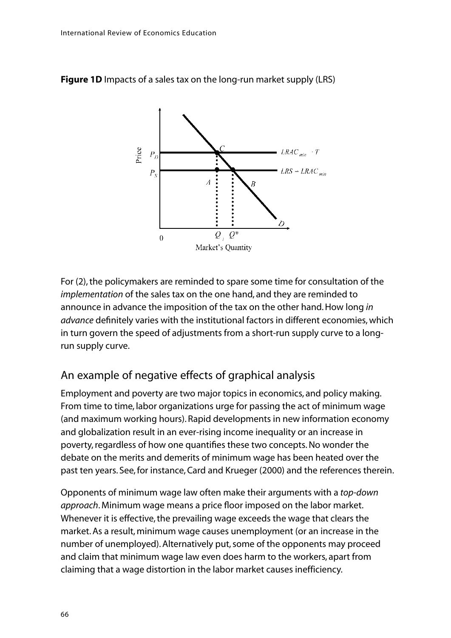

**Figure 1D** Impacts of a sales tax on the long-run market supply (LRS)

For (2),the policymakers are reminded to spare some time for consultation of the *implementation* of the sales tax on the one hand, and they are reminded to announce in advance the imposition of the tax on the other hand. How long *in advance* definitely varies with the institutional factors in different economies, which in turn govern the speed of adjustments from a short-run supply curve to a longrun supply curve.

#### An example of negative effects of graphical analysis

Employment and poverty are two major topics in economics, and policy making. From time to time, labor organizations urge for passing the act of minimum wage (and maximum working hours). Rapid developments in new information economy and globalization result in an ever-rising income inequality or an increase in poverty, regardless of how one quantifies these two concepts. No wonder the debate on the merits and demerits of minimum wage has been heated over the past ten years. See, for instance, Card and Krueger (2000) and the references therein.

Opponents of minimum wage law often make their arguments with a *top-down approach*. Minimum wage means a price floor imposed on the labor market. Whenever it is effective, the prevailing wage exceeds the wage that clears the market. As a result, minimum wage causes unemployment (or an increase in the number of unemployed). Alternatively put, some of the opponents may proceed and claim that minimum wage law even does harm to the workers, apart from claiming that a wage distortion in the labor market causes inefficiency.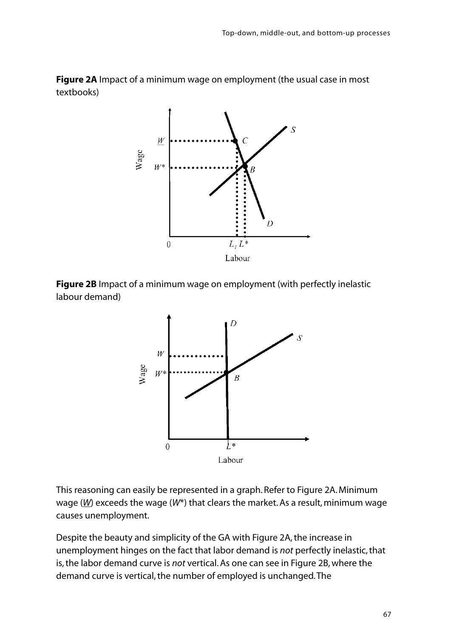**Figure 2A** Impact of a minimum wage on employment (the usual case in most textbooks)



**Figure 2B** Impact of a minimum wage on employment (with perfectly inelastic labour demand)



This reasoning can easily be represented in a graph. Refer to Figure 2A. Minimum wage (*W*) exceeds the wage (*W*\*) that clears the market. As a result, minimum wage causes unemployment.

Despite the beauty and simplicity of the GA with Figure 2A, the increase in unemployment hinges on the fact that labor demand is *not* perfectly inelastic, that is, the labor demand curve is *not* vertical. As one can see in Figure 2B, where the demand curve is vertical, the number of employed is unchanged.The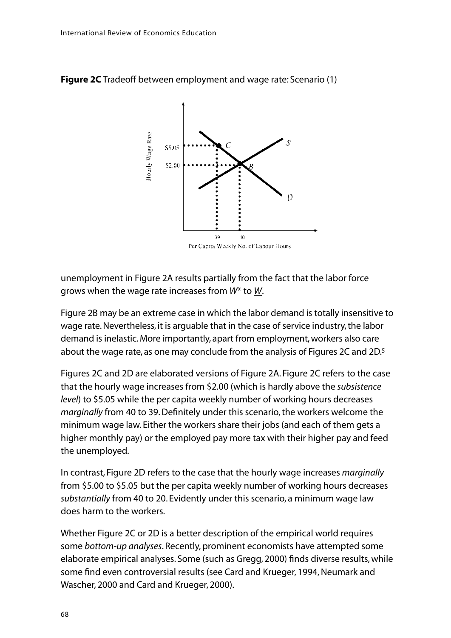

**Figure 2C** Tradeoff between employment and wage rate: Scenario (1)

unemployment in Figure 2A results partially from the fact that the labor force grows when the wage rate increases from *W*\* to *W*.

Figure 2B may be an extreme case in which the labor demand is totally insensitive to wage rate. Nevertheless, it is arguable that in the case of service industry, the labor demand is inelastic. More importantly, apart from employment, workers also care about the wage rate, as one may conclude from the analysis of Figures 2C and 2D.5

Figures 2C and 2D are elaborated versions of Figure 2A. Figure 2C refers to the case that the hourly wage increases from \$2.00 (which is hardly above the *subsistence level*) to \$5.05 while the per capita weekly number of working hours decreases *marginally* from 40 to 39. Definitely under this scenario, the workers welcome the minimum wage law. Either the workers share their jobs (and each of them gets a higher monthly pay) or the employed pay more tax with their higher pay and feed the unemployed.

In contrast, Figure 2D refers to the case that the hourly wage increases *marginally* from \$5.00 to \$5.05 but the per capita weekly number of working hours decreases *substantially* from 40 to 20. Evidently under this scenario, a minimum wage law does harm to the workers.

Whether Figure 2C or 2D is a better description of the empirical world requires some *bottom-up analyses*. Recently, prominent economists have attempted some elaborate empirical analyses. Some (such as Gregg, 2000) finds diverse results, while some find even controversial results (see Card and Krueger, 1994, Neumark and Wascher, 2000 and Card and Krueger, 2000).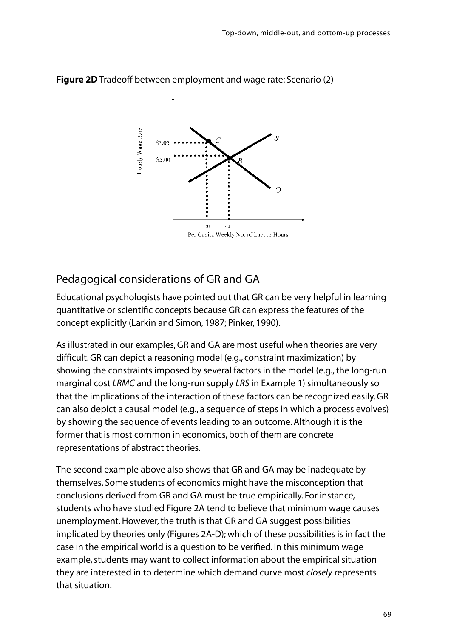

**Figure 2D**Tradeoff between employment and wage rate: Scenario (2)

### Pedagogical considerations of GR and GA

Educational psychologists have pointed out that GR can be very helpful in learning quantitative or scientific concepts because GR can express the features of the concept explicitly (Larkin and Simon, 1987; Pinker, 1990).

As illustrated in our examples, GR and GA are most useful when theories are very difficult.GR can depict a reasoning model (e.g., constraint maximization) by showing the constraints imposed by several factors in the model (e.g., the long-run marginal cost *LRMC* and the long-run supply *LRS* in Example 1) simultaneously so that the implications of the interaction of these factors can be recognized easily. GR can also depict a causal model (e.g., a sequence of steps in which a process evolves) by showing the sequence of events leading to an outcome. Although it is the former that is most common in economics, both of them are concrete representations of abstract theories.

The second example above also shows that GR and GA may be inadequate by themselves. Some students of economics might have the misconception that conclusions derived from GR and GA must be true empirically. For instance, students who have studied Figure 2A tend to believe that minimum wage causes unemployment. However, the truth is that GR and GA suggest possibilities implicated by theories only (Figures 2A-D); which of these possibilities is in fact the case in the empirical world is a question to be verified. In this minimum wage example, students may want to collect information about the empirical situation they are interested in to determine which demand curve most *closely* represents that situation.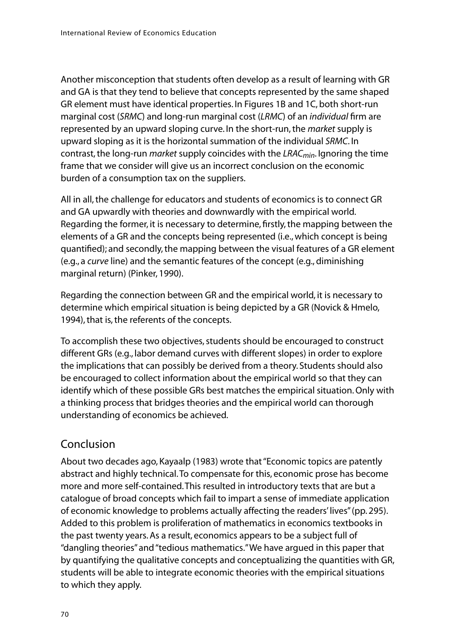Another misconception that students often develop as a result of learning with GR and GA is that they tend to believe that concepts represented by the same shaped GR element must have identical properties. In Figures 1B and 1C, both short-run marginal cost (*SRMC*) and long-run marginal cost (*LRMC*) of an *individual* firm are represented by an upward sloping curve. In the short-run, the *market* supply is upward sloping as it is the horizontal summation of the individual *SRMC*. In contrast, the long-run *market* supply coincides with the *LRACmin*. Ignoring the time frame that we consider will give us an incorrect conclusion on the economic burden of a consumption tax on the suppliers.

All in all, the challenge for educators and students of economics is to connect GR and GA upwardly with theories and downwardly with the empirical world. Regarding the former, it is necessary to determine, firstly, the mapping between the elements of a GR and the concepts being represented (i.e., which concept is being quantified); and secondly, the mapping between the visual features of a GR element (e.g., a *curve* line) and the semantic features of the concept (e.g., diminishing marginal return) (Pinker, 1990).

Regarding the connection between GR and the empirical world, it is necessary to determine which empirical situation is being depicted by a GR (Novick & Hmelo, 1994), that is, the referents of the concepts.

To accomplish these two objectives, students should be encouraged to construct different GRs (e.g., labor demand curves with different slopes) in order to explore the implications that can possibly be derived from a theory. Students should also be encouraged to collect information about the empirical world so that they can identify which of these possible GRs best matches the empirical situation. Only with a thinking process that bridges theories and the empirical world can thorough understanding of economics be achieved.

# Conclusion

About two decades ago, Kayaalp (1983) wrote that "Economic topics are patently abstract and highly technical.To compensate for this, economic prose has become more and more self-contained.This resulted in introductory texts that are but a catalogue of broad concepts which fail to impart a sense of immediate application of economic knowledge to problems actually affecting the readers' lives" (pp. 295). Added to this problem is proliferation of mathematics in economics textbooks in the past twenty years. As a result, economics appears to be a subject full of "dangling theories" and "tedious mathematics."We have argued in this paper that by quantifying the qualitative concepts and conceptualizing the quantities with GR, students will be able to integrate economic theories with the empirical situations to which they apply.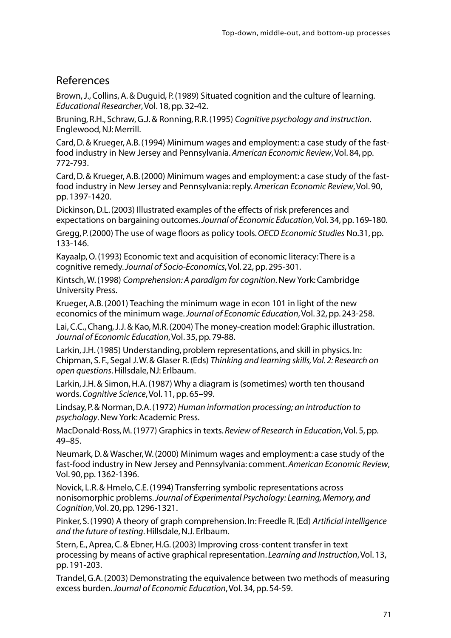#### References

Brown, J., Collins, A. & Duguid, P. (1989) Situated cognition and the culture of learning. *Educational Researcher*, Vol. 18, pp. 32-42.

Bruning, R.H., Schraw, G.J. & Ronning, R.R. (1995) *Cognitive psychology and instruction*. Englewood, NJ: Merrill.

Card, D. & Krueger, A.B. (1994) Minimum wages and employment: a case study of the fastfood industry in New Jersey and Pennsylvania.*American Economic Review*, Vol. 84, pp. 772-793.

Card, D. & Krueger, A.B. (2000) Minimum wages and employment: a case study of the fastfood industry in New Jersey and Pennsylvania: reply.*American Economic Review*, Vol. 90, pp. 1397-1420.

Dickinson, D.L. (2003) Illustrated examples of the effects of risk preferences and expectations on bargaining outcomes.*Journal of Economic Education*,Vol. 34, pp. 169-180.

Gregg, P. (2000) The use of wage floors as policy tools.*OECD Economic Studies* No.31, pp. 133-146.

Kayaalp, O. (1993) Economic text and acquisition of economic literacy:There is a cognitive remedy.*Journal of Socio-Economics*, Vol. 22, pp. 295-301.

Kintsch, W. (1998) *Comprehension: A paradigm for cognition*.New York: Cambridge University Press.

Krueger, A.B. (2001) Teaching the minimum wage in econ 101 in light of the new economics of the minimum wage.*Journal of Economic Education*, Vol. 32, pp. 243-258.

Lai, C.C., Chang, J.J. & Kao, M.R. (2004) The money-creation model: Graphic illustration. *Journal of Economic Education*, Vol. 35, pp. 79-88.

Larkin, J.H. (1985) Understanding, problem representations, and skill in physics. In: Chipman, S. F., Segal J.W. & Glaser R. (Eds) *Thinking and learning skills, Vol. 2: Research on open questions*.Hillsdale, NJ: Erlbaum.

Larkin,J.H.& Simon, H.A. (1987) Why a diagram is (sometimes) worth ten thousand words.*Cognitive Science*,Vol. 11, pp. 65–99.

Lindsay, P. & Norman, D.A. (1972) *Human information processing; an introduction to psychology*. New York: Academic Press.

MacDonald-Ross, M. (1977) Graphics in texts. *Review of Research in Education*, Vol. 5, pp. 49–85.

Neumark, D. & Wascher, W. (2000) Minimum wages and employment: a case study of the fast-food industry in New Jersey and Pennsylvania: comment.*American Economic Review*, Vol. 90, pp. 1362-1396.

Novick, L.R. & Hmelo, C.E. (1994) Transferring symbolic representations across nonisomorphic problems.*Journal of Experimental Psychology: Learning, Memory, and Cognition*,Vol. 20, pp. 1296-1321.

Pinker, S. (1990) A theory of graph comprehension. In: Freedle R. (Ed) *Artificial intelligence and the future of testing*. Hillsdale, N.J. Erlbaum.

Stern, E., Aprea, C. & Ebner, H.G. (2003) Improving cross-content transfer in text processing by means of active graphical representation. *Learning and Instruction*, Vol. 13, pp. 191-203.

Trandel, G.A. (2003) Demonstrating the equivalence between two methods of measuring excess burden.*Journal of Economic Education*,Vol. 34, pp. 54-59.